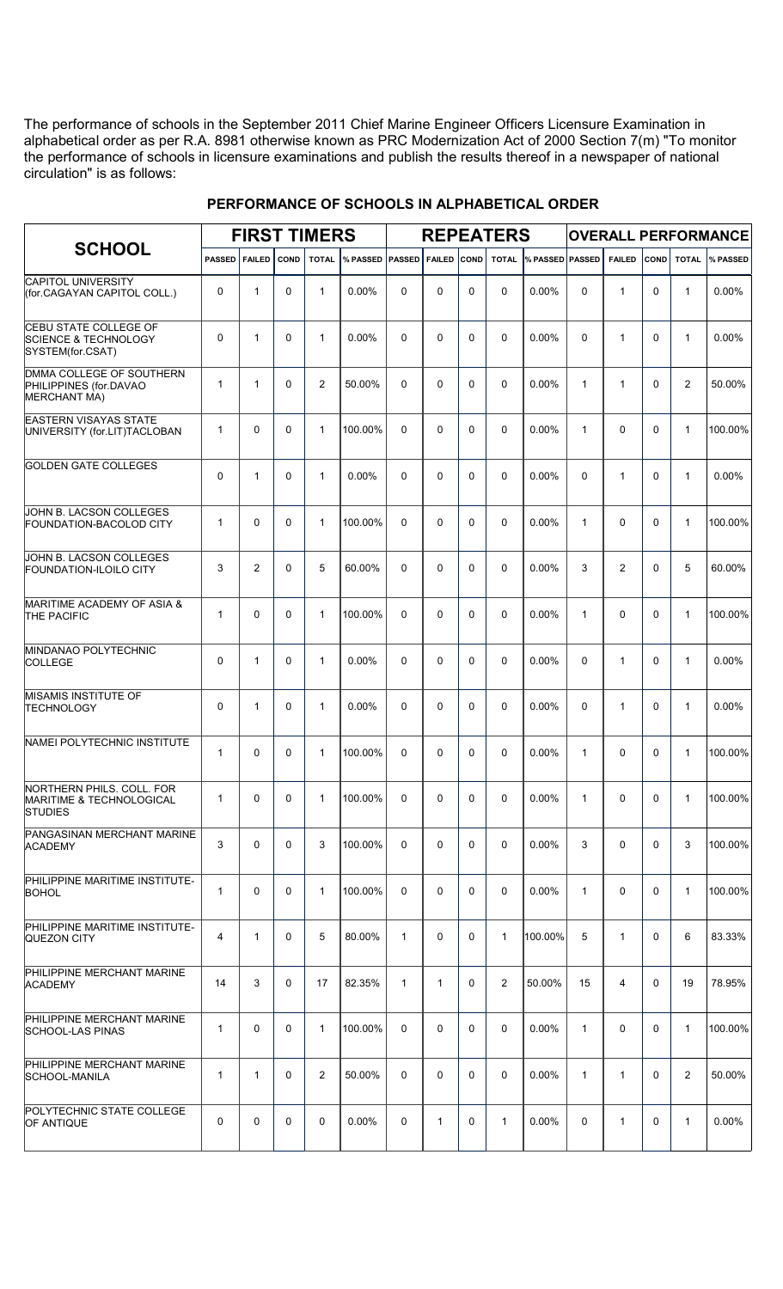The performance of schools in the September 2011 Chief Marine Engineer Officers Licensure Examination in alphabetical order as per R.A. 8981 otherwise known as PRC Modernization Act of 2000 Section 7(m) "To monitor the performance of schools in licensure examinations and publish the results thereof in a newspaper of national circulation" is as follows:

| <b>SCHOOL</b>                                                                       | <b>FIRST TIMERS</b> |                |             |                |                 |                |               | <b>REPEATERS</b> |                | <b>OVERALL PERFORMANCE</b> |              |                |             |                |                 |
|-------------------------------------------------------------------------------------|---------------------|----------------|-------------|----------------|-----------------|----------------|---------------|------------------|----------------|----------------------------|--------------|----------------|-------------|----------------|-----------------|
|                                                                                     | <b>PASSED</b>       | <b>FAILED</b>  | <b>COND</b> | <b>TOTAL</b>   | % PASSED PASSED |                | <b>FAILED</b> | <b>COND</b>      | <b>TOTAL</b>   | % PASSED PASSED            |              | <b>FAILED</b>  | COND        | <b>TOTAL</b>   | <b>W</b> PASSED |
| <b>CAPITOL UNIVERSITY</b><br>(for.CAGAYAN CAPITOL COLL.)                            | 0                   | $\mathbf{1}$   | $\Omega$    | $\mathbf{1}$   | $0.00\%$        | $\Omega$       | $\Omega$      | $\Omega$         | $\Omega$       | $0.00\%$                   | $\Omega$     | 1              | $\Omega$    | $\mathbf{1}$   | 0.00%           |
| <b>CEBU STATE COLLEGE OF</b><br><b>SCIENCE &amp; TECHNOLOGY</b><br>SYSTEM(for.CSAT) | 0                   | 1              | $\Omega$    | $\mathbf{1}$   | $0.00\%$        | $\Omega$       | $\Omega$      | $\Omega$         | $\Omega$       | $0.00\%$                   | $\Omega$     | 1              | $\Omega$    | $\mathbf{1}$   | 0.00%           |
| DMMA COLLEGE OF SOUTHERN<br>PHILIPPINES (for.DAVAO<br><b>MERCHANT MA)</b>           | $\mathbf{1}$        | 1              | 0           | 2              | 50.00%          | $\Omega$       | $\Omega$      | $\Omega$         | $\Omega$       | $0.00\%$                   | $\mathbf{1}$ | 1              | $\Omega$    | $\overline{2}$ | 50.00%          |
| <b>EASTERN VISAYAS STATE</b><br>UNIVERSITY (for.LIT)TACLOBAN                        | $\mathbf{1}$        | 0              | 0           | $\mathbf{1}$   | 100.00%         | $\Omega$       | $\Omega$      | $\Omega$         | $\Omega$       | $0.00\%$                   | $\mathbf{1}$ | $\Omega$       | $\Omega$    | $\mathbf{1}$   | 100.00%         |
| <b>GOLDEN GATE COLLEGES</b>                                                         | $\Omega$            | 1              | 0           | $\mathbf{1}$   | $0.00\%$        | $\Omega$       | $\Omega$      | $\Omega$         | $\Omega$       | $0.00\%$                   | $\Omega$     | 1              | $\Omega$    | $\mathbf{1}$   | 0.00%           |
| JOHN B. LACSON COLLEGES<br><b>FOUNDATION-BACOLOD CITY</b>                           | $\mathbf{1}$        | 0              | $\Omega$    | $\mathbf{1}$   | 100.00%         | $\Omega$       | $\Omega$      | $\Omega$         | $\Omega$       | $0.00\%$                   | $\mathbf{1}$ | $\Omega$       | $\Omega$    | $\mathbf{1}$   | 100.00%         |
| JOHN B. LACSON COLLEGES<br><b>FOUNDATION-ILOILO CITY</b>                            | 3                   | 2              | $\Omega$    | 5              | 60.00%          | $\Omega$       | $\Omega$      | $\Omega$         | $\Omega$       | $0.00\%$                   | 3            | $\overline{2}$ | $\Omega$    | 5              | 60.00%          |
| <b>MARITIME ACADEMY OF ASIA &amp;</b><br><b>THE PACIFIC</b>                         | $\mathbf{1}$        | 0              | $\Omega$    | $\mathbf{1}$   | 100.00%         | $\Omega$       | $\Omega$      | $\Omega$         | $\Omega$       | $0.00\%$                   | $\mathbf{1}$ | $\Omega$       | $\Omega$    | $\mathbf{1}$   | 100.00%         |
| MINDANAO POLYTECHNIC<br><b>COLLEGE</b>                                              | 0                   | 1              | 0           | $\mathbf{1}$   | $0.00\%$        | $\Omega$       | $\Omega$      | $\Omega$         | $\Omega$       | 0.00%                      | $\Omega$     | $\mathbf{1}$   | $\Omega$    | $\mathbf{1}$   | 0.00%           |
| <b>MISAMIS INSTITUTE OF</b><br><b>TECHNOLOGY</b>                                    | 0                   | 1              | 0           | $\mathbf{1}$   | $0.00\%$        | $\Omega$       | $\Omega$      | $\Omega$         | $\Omega$       | 0.00%                      | $\Omega$     | $\mathbf{1}$   | $\Omega$    | $\mathbf{1}$   | 0.00%           |
| NAMEI POLYTECHNIC INSTITUTE                                                         | $\mathbf{1}$        | 0              | $\Omega$    | $\mathbf{1}$   | 100.00%         | $\Omega$       | $\Omega$      | $\Omega$         | $\Omega$       | 0.00%                      | $\mathbf{1}$ | $\Omega$       | $\Omega$    | $\mathbf{1}$   | 100.00%         |
| NORTHERN PHILS, COLL, FOR<br>MARITIME & TECHNOLOGICAL<br><b>STUDIES</b>             | 1                   | $\overline{0}$ | $\mathbf 0$ | 1              | 100.00%         | $\overline{0}$ | $\mathbf 0$   | 0                | $\mathbf 0$    | $0.00\%$                   | $\mathbf{1}$ | 0              | $\mathbf 0$ |                | 100.00%         |
| PANGASINAN MERCHANT MARINE<br><b>ACADEMY</b>                                        | 3                   | 0              | $\mathbf 0$ | 3              | 100.00%         | 0              | 0             | $\Omega$         | $\mathbf 0$    | $0.00\%$                   | 3            | $\Omega$       | $\Omega$    | 3              | 100.00%         |
| PHILIPPINE MARITIME INSTITUTE-<br><b>BOHOL</b>                                      | $\mathbf{1}$        | 0              | $\mathbf 0$ | $\mathbf{1}$   | 100.00%         | 0              | 0             | $\Omega$         | $\mathbf 0$    | $0.00\%$                   | $\mathbf{1}$ | $\Omega$       | $\Omega$    | $\mathbf{1}$   | 100.00%         |
| PHILIPPINE MARITIME INSTITUTE-<br>QUEZON CITY                                       | $\overline{4}$      | $\mathbf{1}$   | 0           | 5              | 80.00%          | $\mathbf{1}$   | 0             | $\Omega$         | $\mathbf{1}$   | 100.00%                    | 5            | $\mathbf{1}$   | $\mathbf 0$ | 6              | 83.33%          |
| PHILIPPINE MERCHANT MARINE<br><b>ACADEMY</b>                                        | 14                  | 3              | 0           | 17             | 82.35%          | $\mathbf{1}$   | $\mathbf{1}$  | $\mathbf{0}$     | $\overline{2}$ | 50.00%                     | 15           | 4              | $\Omega$    | 19             | 78.95%          |
| PHILIPPINE MERCHANT MARINE<br><b>SCHOOL-LAS PINAS</b>                               | $\mathbf{1}$        | 0              | $\mathbf 0$ | $\mathbf{1}$   | 100.00%         | 0              | 0             | $\Omega$         | $\mathbf 0$    | $0.00\%$                   | $\mathbf{1}$ | 0              | $\mathbf 0$ | $\mathbf{1}$   | 100.00%         |
| PHILIPPINE MERCHANT MARINE<br>SCHOOL-MANILA                                         | $\mathbf{1}$        | $\mathbf{1}$   | 0           | $\overline{2}$ | 50.00%          | $\Omega$       | 0             | $\Omega$         | 0              | $0.00\%$                   | $\mathbf{1}$ | $\mathbf{1}$   | $\mathbf 0$ | $\overline{2}$ | 50.00%          |
| POLYTECHNIC STATE COLLEGE<br>OF ANTIQUE                                             | $\mathbf 0$         | 0              | $\mathbf 0$ | 0              | 0.00%           | 0              | $\mathbf{1}$  | 0                | $\mathbf{1}$   | 0.00%                      | $\mathbf 0$  | $\mathbf{1}$   | $\mathbf 0$ | $\mathbf{1}$   | 0.00%           |

## **PERFORMANCE OF SCHOOLS IN ALPHABETICAL ORDER**